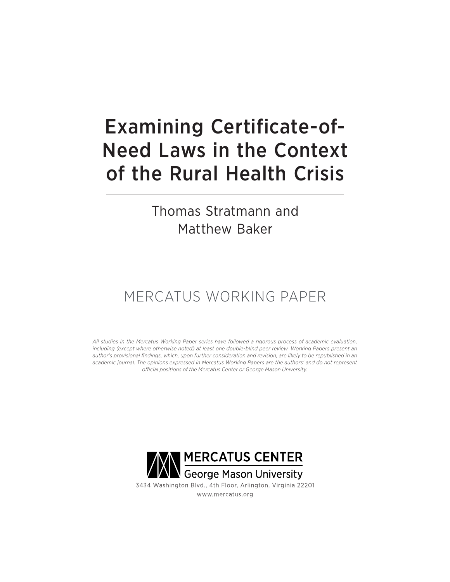# Examining Certificate-of-Need Laws in the Context of the Rural Health Crisis

Thomas Stratmann and Matthew Baker

# MERCATUS WORKING PAPER

*All studies in the Mercatus Working Paper series have followed a rigorous process of academic evaluation, including (except where otherwise noted) at least one double-blind peer review. Working Papers present an author's provisional findings, which, upon further consideration and revision, are likely to be republished in an academic journal. The opinions expressed in Mercatus Working Papers are the authors' and do not represent official positions of the Mercatus Center or George Mason University.*

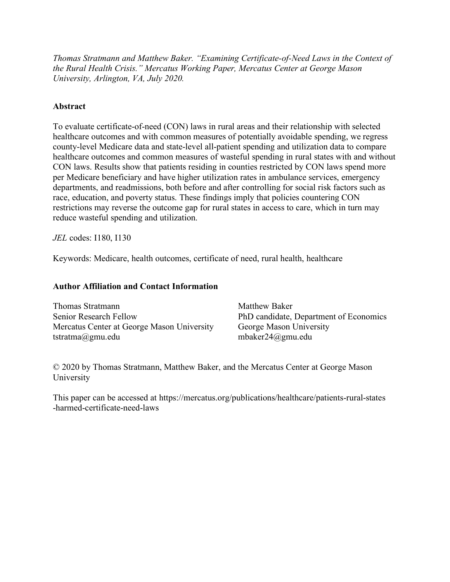*Thomas Stratmann and Matthew Baker. "Examining Certificate-of-Need Laws in the Context of the Rural Health Crisis." Mercatus Working Paper, Mercatus Center at George Mason University, Arlington, VA, July 2020.*

# **Abstract**

To evaluate certificate-of-need (CON) laws in rural areas and their relationship with selected healthcare outcomes and with common measures of potentially avoidable spending, we regress county-level Medicare data and state-level all-patient spending and utilization data to compare healthcare outcomes and common measures of wasteful spending in rural states with and without CON laws. Results show that patients residing in counties restricted by CON laws spend more per Medicare beneficiary and have higher utilization rates in ambulance services, emergency departments, and readmissions, both before and after controlling for social risk factors such as race, education, and poverty status. These findings imply that policies countering CON restrictions may reverse the outcome gap for rural states in access to care, which in turn may reduce wasteful spending and utilization.

*JEL* codes: I180, I130

Keywords: Medicare, health outcomes, certificate of need, rural health, healthcare

#### **Author Affiliation and Contact Information**

| Thomas Stratmann                           | <b>Matthew Baker</b>                   |
|--------------------------------------------|----------------------------------------|
| Senior Research Fellow                     | PhD candidate, Department of Economics |
| Mercatus Center at George Mason University | George Mason University                |
| tstratma@gmu.edu                           | mbaker $24$ @gmu.edu                   |

© 2020 by Thomas Stratmann, Matthew Baker, and the Mercatus Center at George Mason University

This paper can be accessed at [https://mercatus.org/publications/healthcare/patients-rural-states](https://mercatus.org/publications/healthcare/patients-rural-states-harmed-certificate-need-laws) [-harmed-certificate-need-laws](https://mercatus.org/publications/healthcare/patients-rural-states-harmed-certificate-need-laws)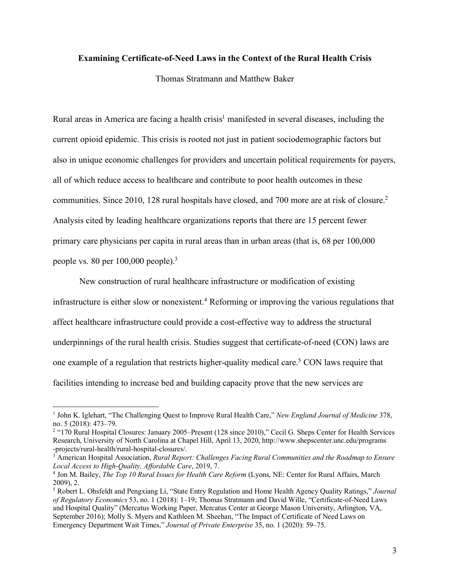#### **Examining Certificate-of-Need Laws in the Context of the Rural Health Crisis**

Thomas Stratmann and Matthew Baker

Rural areas in America are facing a health crisis<sup>1</sup> manifested in several diseases, including the current opioid epidemic. This crisis is rooted not just in patient sociodemographic factors but also in unique economic challenges for providers and uncertain political requirements for payers, all of which reduce access to healthcare and contribute to poor health outcomes in these communities. Since 2010, 128 rural hospitals have closed, and 700 more are at risk of closure. 2 Analysis cited by leading healthcare organizations reports that there are 15 percent fewer primary care physicians per capita in rural areas than in urban areas (that is, 68 per 100,000 people vs. 80 per 100,000 people). 3

New construction of rural healthcare infrastructure or modification of existing infrastructure is either slow or nonexistent. <sup>4</sup> Reforming or improving the various regulations that affect healthcare infrastructure could provide a cost-effective way to address the structural underpinnings of the rural health crisis. Studies suggest that certificate-of-need (CON) laws are one example of a regulation that restricts higher-quality medical care. <sup>5</sup> CON laws require that facilities intending to increase bed and building capacity prove that the new services are

<sup>3</sup> American Hospital Association, *Rural Report: Challenges Facing Rural Communities and the Roadmap to Ensure Local Access to High-Quality, Affordable Care*, 2019, 7.

 <sup>1</sup> John K. Iglehart, "The Challenging Quest to Improve Rural Health Care," *New England Journal of Medicine* 378, no. 5 (2018): 473–79.

<sup>2</sup> "170 Rural Hospital Closures: January 2005–Present (128 since 2010)," Cecil G. Sheps Center for Health Services Research, University of North Carolina at Chapel Hill, April 13, 2020[, http://www.shepscenter.unc.edu/programs](http://www.shepscenter.unc.edu/programs-projects/rural-health/rural-hospital-closures/) [-projects/rural-health/rural-hospital-closures/.](http://www.shepscenter.unc.edu/programs-projects/rural-health/rural-hospital-closures/)

<sup>4</sup> Jon M. Bailey, *The Top 10 Rural Issues for Health Care Reform* (Lyons, NE: Center for Rural Affairs, March 2009), 2.

<sup>5</sup> Robert L. Ohsfeldt and Pengxiang Li, "State Entry Regulation and Home Health Agency Quality Ratings," *Journal of Regulatory Economics* 53, no. 1 (2018): 1–19; Thomas Stratmann and David Wille, "Certificate-of-Need Laws and Hospital Quality" (Mercatus Working Paper, Mercatus Center at George Mason University, Arlington, VA, September 2016); Molly S. Myers and Kathleen M. Sheehan, "The Impact of Certificate of Need Laws on Emergency Department Wait Times," *Journal of Private Enterprise* 35, no. 1 (2020): 59–75.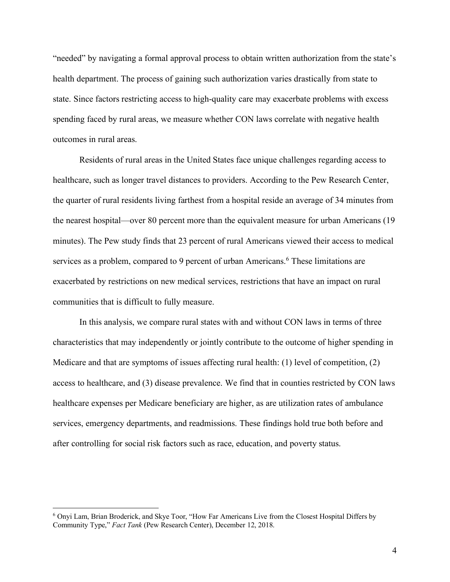"needed" by navigating a formal approval process to obtain written authorization from the state's health department. The process of gaining such authorization varies drastically from state to state. Since factors restricting access to high-quality care may exacerbate problems with excess spending faced by rural areas, we measure whether CON laws correlate with negative health outcomes in rural areas.

Residents of rural areas in the United States face unique challenges regarding access to healthcare, such as longer travel distances to providers. According to the Pew Research Center, the quarter of rural residents living farthest from a hospital reside an average of 34 minutes from the nearest hospital—over 80 percent more than the equivalent measure for urban Americans (19 minutes). The Pew study finds that 23 percent of rural Americans viewed their access to medical services as a problem, compared to 9 percent of urban Americans. <sup>6</sup> These limitations are exacerbated by restrictions on new medical services, restrictions that have an impact on rural communities that is difficult to fully measure.

In this analysis, we compare rural states with and without CON laws in terms of three characteristics that may independently or jointly contribute to the outcome of higher spending in Medicare and that are symptoms of issues affecting rural health: (1) level of competition, (2) access to healthcare, and (3) disease prevalence. We find that in counties restricted by CON laws healthcare expenses per Medicare beneficiary are higher, as are utilization rates of ambulance services, emergency departments, and readmissions. These findings hold true both before and after controlling for social risk factors such as race, education, and poverty status.

 <sup>6</sup> Onyi Lam, Brian Broderick, and Skye Toor, "How Far Americans Live from the Closest Hospital Differs by Community Type," *Fact Tank* (Pew Research Center), December 12, 2018.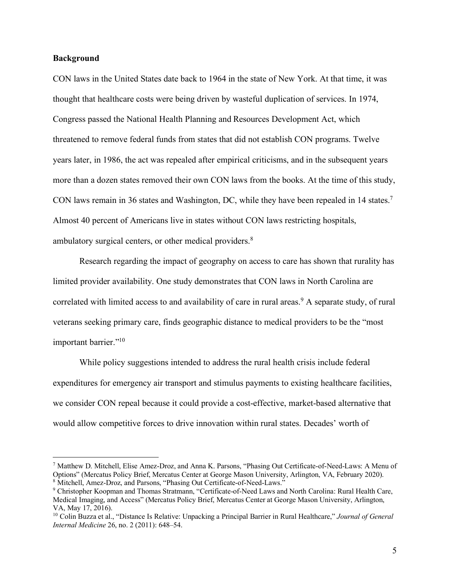#### **Background**

CON laws in the United States date back to 1964 in the state of New York. At that time, it was thought that healthcare costs were being driven by wasteful duplication of services. In 1974, Congress passed the National Health Planning and Resources Development Act, which threatened to remove federal funds from states that did not establish CON programs. Twelve years later, in 1986, the act was repealed after empirical criticisms, and in the subsequent years more than a dozen states removed their own CON laws from the books. At the time of this study, CON laws remain in 36 states and Washington, DC, while they have been repealed in 14 states. 7 Almost 40 percent of Americans live in states without CON laws restricting hospitals, ambulatory surgical centers, or other medical providers.<sup>8</sup>

Research regarding the impact of geography on access to care has shown that rurality has limited provider availability. One study demonstrates that CON laws in North Carolina are correlated with limited access to and availability of care in rural areas. <sup>9</sup> A separate study, of rural veterans seeking primary care, finds geographic distance to medical providers to be the "most important barrier."10

While policy suggestions intended to address the rural health crisis include federal expenditures for emergency air transport and stimulus payments to existing healthcare facilities, we consider CON repeal because it could provide a cost-effective, market-based alternative that would allow competitive forces to drive innovation within rural states. Decades' worth of

 <sup>7</sup> Matthew D. Mitchell, Elise Amez-Droz, and Anna K. Parsons, "Phasing Out Certificate-of-Need-Laws: A Menu of Options" (Mercatus Policy Brief, Mercatus Center at George Mason University, Arlington, VA, February 2020). <sup>8</sup> Mitchell, Amez-Droz, and Parsons, "Phasing Out Certificate-of-Need-Laws."

<sup>9</sup> Christopher Koopman and Thomas Stratmann, "Certificate-of-Need Laws and North Carolina: Rural Health Care, Medical Imaging, and Access" (Mercatus Policy Brief, Mercatus Center at George Mason University, Arlington, VA, May 17, 2016).

<sup>10</sup> Colin Buzza et al., "Distance Is Relative: Unpacking a Principal Barrier in Rural Healthcare," *Journal of General Internal Medicine* 26, no. 2 (2011): 648–54.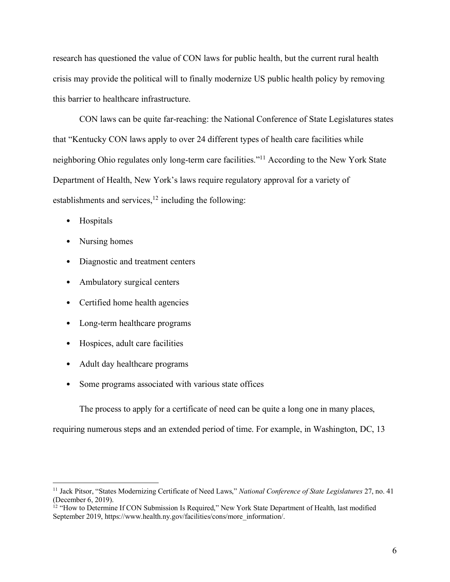research has questioned the value of CON laws for public health, but the current rural health crisis may provide the political will to finally modernize US public health policy by removing this barrier to healthcare infrastructure.

CON laws can be quite far-reaching: the National Conference of State Legislatures states that "Kentucky CON laws apply to over 24 different types of health care facilities while neighboring Ohio regulates only long-term care facilities."11 According to the New York State Department of Health, New York's laws require regulatory approval for a variety of establishments and services,<sup>12</sup> including the following:

- Hospitals
- Nursing homes
- Diagnostic and treatment centers
- Ambulatory surgical centers
- Certified home health agencies
- Long-term healthcare programs
- Hospices, adult care facilities
- Adult day healthcare programs
- Some programs associated with various state offices

The process to apply for a certificate of need can be quite a long one in many places,

requiring numerous steps and an extended period of time. For example, in Washington, DC, 13

 <sup>11</sup> Jack Pitsor, "States Modernizing Certificate of Need Laws," *National Conference of State Legislatures* 27, no. 41 (December 6, 2019).

<sup>&</sup>lt;sup>12</sup> "How to Determine If CON Submission Is Required," New York State Department of Health, last modified September 2019[, https://www.health.ny.gov/facilities/cons/more\\_information/.](https://www.health.ny.gov/facilities/cons/more_information/)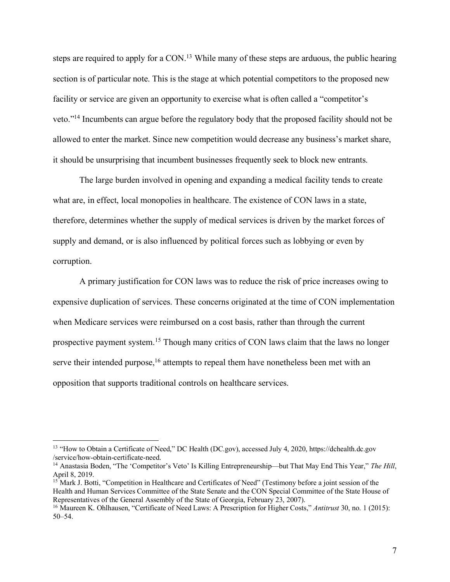steps are required to apply for a CON.<sup>13</sup> While many of these steps are arduous, the public hearing section is of particular note. This is the stage at which potential competitors to the proposed new facility or service are given an opportunity to exercise what is often called a "competitor's veto."14 Incumbents can argue before the regulatory body that the proposed facility should not be allowed to enter the market. Since new competition would decrease any business's market share, it should be unsurprising that incumbent businesses frequently seek to block new entrants.

The large burden involved in opening and expanding a medical facility tends to create what are, in effect, local monopolies in healthcare. The existence of CON laws in a state, therefore, determines whether the supply of medical services is driven by the market forces of supply and demand, or is also influenced by political forces such as lobbying or even by corruption.

A primary justification for CON laws was to reduce the risk of price increases owing to expensive duplication of services. These concerns originated at the time of CON implementation when Medicare services were reimbursed on a cost basis, rather than through the current prospective payment system.<sup>15</sup> Though many critics of CON laws claim that the laws no longer serve their intended purpose,<sup>16</sup> attempts to repeal them have nonetheless been met with an opposition that supports traditional controls on healthcare services.

 <sup>13</sup> "How to Obtain a Certificate of Need," DC Health (DC.gov), accessed July 4, 2020, [https://dchealth.dc.gov](https://dchealth.dc.gov/service/how-obtain-certificate-need) [/service/how-obtain-certificate-need.](https://dchealth.dc.gov/service/how-obtain-certificate-need)

<sup>14</sup> Anastasia Boden, "The 'Competitor's Veto' Is Killing Entrepreneurship—but That May End This Year," *The Hill*, April 8, 2019.

<sup>&</sup>lt;sup>15</sup> Mark J. Botti, "Competition in Healthcare and Certificates of Need" (Testimony before a joint session of the Health and Human Services Committee of the State Senate and the CON Special Committee of the State House of Representatives of the General Assembly of the State of Georgia, February 23, 2007).

<sup>16</sup> Maureen K. Ohlhausen, "Certificate of Need Laws: A Prescription for Higher Costs," *Antitrust* 30, no. 1 (2015): 50–54.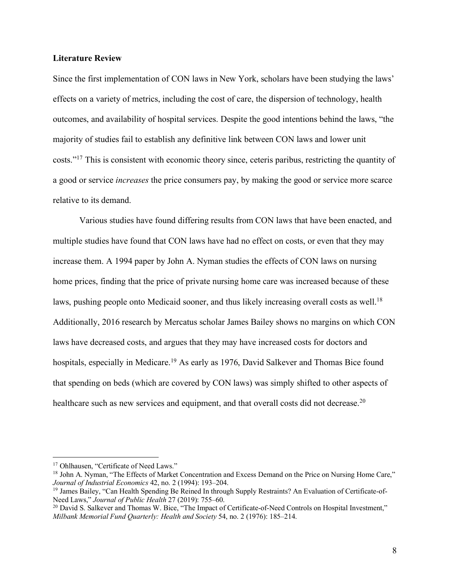#### **Literature Review**

Since the first implementation of CON laws in New York, scholars have been studying the laws' effects on a variety of metrics, including the cost of care, the dispersion of technology, health outcomes, and availability of hospital services. Despite the good intentions behind the laws, "the majority of studies fail to establish any definitive link between CON laws and lower unit costs."17 This is consistent with economic theory since, ceteris paribus, restricting the quantity of a good or service *increases* the price consumers pay, by making the good or service more scarce relative to its demand.

Various studies have found differing results from CON laws that have been enacted, and multiple studies have found that CON laws have had no effect on costs, or even that they may increase them. A 1994 paper by John A. Nyman studies the effects of CON laws on nursing home prices, finding that the price of private nursing home care was increased because of these laws, pushing people onto Medicaid sooner, and thus likely increasing overall costs as well.<sup>18</sup> Additionally, 2016 research by Mercatus scholar James Bailey shows no margins on which CON laws have decreased costs, and argues that they may have increased costs for doctors and hospitals, especially in Medicare.<sup>19</sup> As early as 1976, David Salkever and Thomas Bice found that spending on beds (which are covered by CON laws) was simply shifted to other aspects of healthcare such as new services and equipment, and that overall costs did not decrease.<sup>20</sup>

<sup>&</sup>lt;sup>17</sup> Ohlhausen, "Certificate of Need Laws."

<sup>&</sup>lt;sup>18</sup> John A. Nyman, "The Effects of Market Concentration and Excess Demand on the Price on Nursing Home Care," *Journal of Industrial Economics* 42, no. 2 (1994): 193–204.

<sup>19</sup> James Bailey, "Can Health Spending Be Reined In through Supply Restraints? An Evaluation of Certificate-of-Need Laws," *Journal of Public Health* 27 (2019): 755–60.

<sup>&</sup>lt;sup>20</sup> David S. Salkever and Thomas W. Bice, "The Impact of Certificate-of-Need Controls on Hospital Investment," *Milbank Memorial Fund Quarterly: Health and Society* 54, no. 2 (1976): 185–214.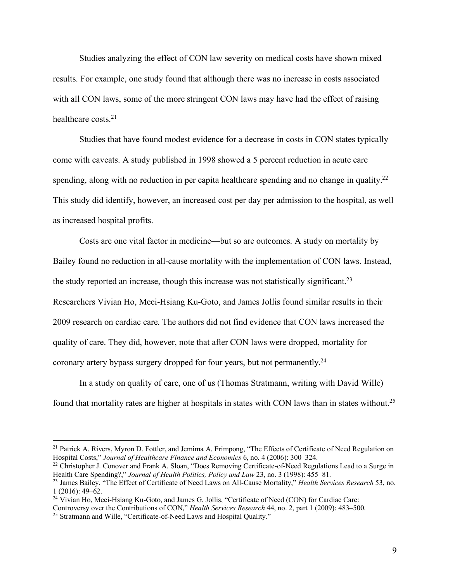Studies analyzing the effect of CON law severity on medical costs have shown mixed results. For example, one study found that although there was no increase in costs associated with all CON laws, some of the more stringent CON laws may have had the effect of raising healthcare costs.<sup>21</sup>

Studies that have found modest evidence for a decrease in costs in CON states typically come with caveats. A study published in 1998 showed a 5 percent reduction in acute care spending, along with no reduction in per capita healthcare spending and no change in quality.<sup>22</sup> This study did identify, however, an increased cost per day per admission to the hospital, as well as increased hospital profits.

Costs are one vital factor in medicine—but so are outcomes. A study on mortality by Bailey found no reduction in all-cause mortality with the implementation of CON laws. Instead, the study reported an increase, though this increase was not statistically significant.<sup>23</sup> Researchers Vivian Ho, Meei-Hsiang Ku-Goto, and James Jollis found similar results in their 2009 research on cardiac care. The authors did not find evidence that CON laws increased the quality of care. They did, however, note that after CON laws were dropped, mortality for coronary artery bypass surgery dropped for four years, but not permanently.<sup>24</sup>

In a study on quality of care, one of us (Thomas Stratmann, writing with David Wille) found that mortality rates are higher at hospitals in states with CON laws than in states without.<sup>25</sup>

<sup>&</sup>lt;sup>21</sup> Patrick A. Rivers, Myron D. Fottler, and Jemima A. Frimpong, "The Effects of Certificate of Need Regulation on Hospital Costs," *Journal of Healthcare Finance and Economics* 6, no. 4 (2006): 300–324.

<sup>&</sup>lt;sup>22</sup> Christopher J. Conover and Frank A. Sloan, "Does Removing Certificate-of-Need Regulations Lead to a Surge in Health Care Spending?," *Journal of Health Politics, Policy and Law* 23, no. 3 (1998): 455–81.

<sup>23</sup> James Bailey, "The Effect of Certificate of Need Laws on All-Cause Mortality," *Health Services Research* 53, no. 1 (2016): 49–62.

<sup>&</sup>lt;sup>24</sup> Vivian Ho, Meei-Hsiang Ku-Goto, and James G. Jollis, "Certificate of Need (CON) for Cardiac Care:

Controversy over the Contributions of CON," *Health Services Research* 44, no. 2, part 1 (2009): 483–500.

<sup>&</sup>lt;sup>25</sup> Stratmann and Wille, "Certificate-of-Need Laws and Hospital Quality."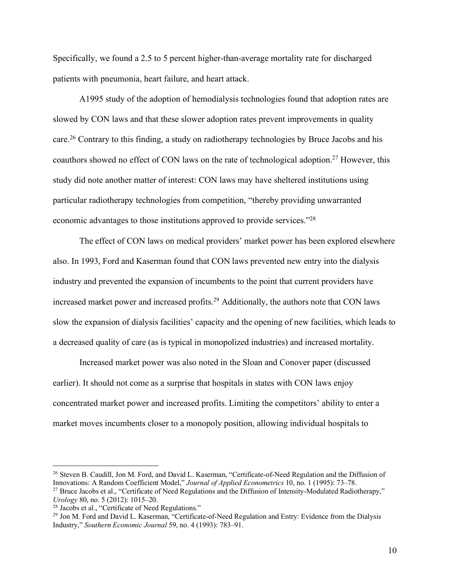Specifically, we found a 2.5 to 5 percent higher-than-average mortality rate for discharged patients with pneumonia, heart failure, and heart attack.

A1995 study of the adoption of hemodialysis technologies found that adoption rates are slowed by CON laws and that these slower adoption rates prevent improvements in quality care.<sup>26</sup> Contrary to this finding, a study on radiotherapy technologies by Bruce Jacobs and his coauthors showed no effect of CON laws on the rate of technological adoption.<sup>27</sup> However, this study did note another matter of interest: CON laws may have sheltered institutions using particular radiotherapy technologies from competition, "thereby providing unwarranted economic advantages to those institutions approved to provide services."28

The effect of CON laws on medical providers' market power has been explored elsewhere also. In 1993, Ford and Kaserman found that CON laws prevented new entry into the dialysis industry and prevented the expansion of incumbents to the point that current providers have increased market power and increased profits. <sup>29</sup> Additionally, the authors note that CON laws slow the expansion of dialysis facilities' capacity and the opening of new facilities, which leads to a decreased quality of care (as is typical in monopolized industries) and increased mortality.

Increased market power was also noted in the Sloan and Conover paper (discussed earlier). It should not come as a surprise that hospitals in states with CON laws enjoy concentrated market power and increased profits. Limiting the competitors' ability to enter a market moves incumbents closer to a monopoly position, allowing individual hospitals to

<sup>&</sup>lt;sup>26</sup> Steven B. Caudill, Jon M. Ford, and David L. Kaserman, "Certificate-of-Need Regulation and the Diffusion of Innovations: A Random Coefficient Model," *Journal of Applied Econometrics* 10, no. 1 (1995): 73–78.

<sup>&</sup>lt;sup>27</sup> Bruce Jacobs et al., "Certificate of Need Regulations and the Diffusion of Intensity-Modulated Radiotherapy," *Urology* 80, no. 5 (2012): 1015–20.

<sup>&</sup>lt;sup>28</sup> Jacobs et al., "Certificate of Need Regulations."

<sup>&</sup>lt;sup>29</sup> Jon M. Ford and David L. Kaserman, "Certificate-of-Need Regulation and Entry: Evidence from the Dialysis Industry," *Southern Economic Journal* 59, no. 4 (1993): 783–91.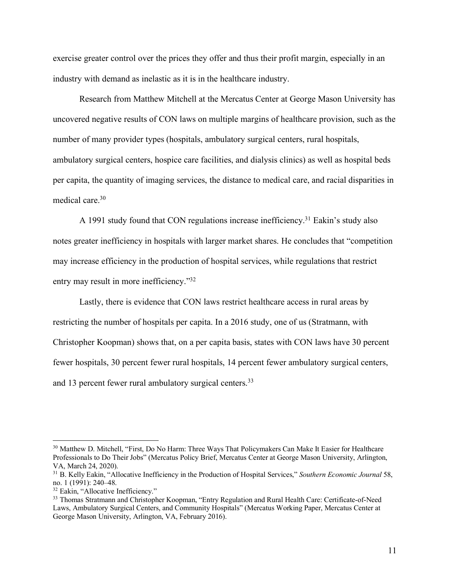exercise greater control over the prices they offer and thus their profit margin, especially in an industry with demand as inelastic as it is in the healthcare industry.

Research from Matthew Mitchell at the Mercatus Center at George Mason University has uncovered negative results of CON laws on multiple margins of healthcare provision, such as the number of many provider types (hospitals, ambulatory surgical centers, rural hospitals, ambulatory surgical centers, hospice care facilities, and dialysis clinics) as well as hospital beds per capita, the quantity of imaging services, the distance to medical care, and racial disparities in medical care. 30

A 1991 study found that CON regulations increase inefficiency. <sup>31</sup> Eakin's study also notes greater inefficiency in hospitals with larger market shares. He concludes that "competition may increase efficiency in the production of hospital services, while regulations that restrict entry may result in more inefficiency."32

Lastly, there is evidence that CON laws restrict healthcare access in rural areas by restricting the number of hospitals per capita. In a 2016 study, one of us (Stratmann, with Christopher Koopman) shows that, on a per capita basis, states with CON laws have 30 percent fewer hospitals, 30 percent fewer rural hospitals, 14 percent fewer ambulatory surgical centers, and 13 percent fewer rural ambulatory surgical centers.<sup>33</sup>

<sup>&</sup>lt;sup>30</sup> Matthew D. Mitchell, "First, Do No Harm: Three Ways That Policymakers Can Make It Easier for Healthcare Professionals to Do Their Jobs" (Mercatus Policy Brief, Mercatus Center at George Mason University, Arlington, VA, March 24, 2020).

<sup>31</sup> B. Kelly Eakin, "Allocative Inefficiency in the Production of Hospital Services," *Southern Economic Journal* 58, no. 1 (1991): 240–48.

<sup>&</sup>lt;sup>32</sup> Eakin, "Allocative Inefficiency."

<sup>&</sup>lt;sup>33</sup> Thomas Stratmann and Christopher Koopman, "Entry Regulation and Rural Health Care: Certificate-of-Need Laws, Ambulatory Surgical Centers, and Community Hospitals" (Mercatus Working Paper, Mercatus Center at George Mason University, Arlington, VA, February 2016).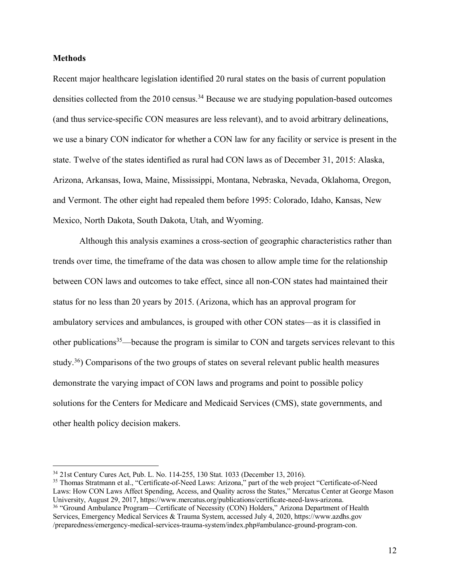#### **Methods**

Recent major healthcare legislation identified 20 rural states on the basis of current population densities collected from the 2010 census.<sup>34</sup> Because we are studying population-based outcomes (and thus service-specific CON measures are less relevant), and to avoid arbitrary delineations, we use a binary CON indicator for whether a CON law for any facility or service is present in the state. Twelve of the states identified as rural had CON laws as of December 31, 2015: Alaska, Arizona, Arkansas, Iowa, Maine, Mississippi, Montana, Nebraska, Nevada, Oklahoma, Oregon, and Vermont. The other eight had repealed them before 1995: Colorado, Idaho, Kansas, New Mexico, North Dakota, South Dakota, Utah, and Wyoming.

Although this analysis examines a cross-section of geographic characteristics rather than trends over time, the timeframe of the data was chosen to allow ample time for the relationship between CON laws and outcomes to take effect, since all non-CON states had maintained their status for no less than 20 years by 2015. (Arizona, which has an approval program for ambulatory services and ambulances, is grouped with other CON states—as it is classified in other publications<sup>35</sup>—because the program is similar to CON and targets services relevant to this study.<sup>36</sup>) Comparisons of the two groups of states on several relevant public health measures demonstrate the varying impact of CON laws and programs and point to possible policy solutions for the Centers for Medicare and Medicaid Services (CMS), state governments, and other health policy decision makers.

<sup>35</sup> Thomas Stratmann et al., "Certificate-of-Need Laws: Arizona," part of the web project "Certificate-of-Need Laws: How CON Laws Affect Spending, Access, and Quality across the States," Mercatus Center at George Mason University, August 29, 2017, [https://www.mercatus.org/publications/certificate-need-laws-arizona.](https://www.mercatus.org/publications/certificate-need-laws-arizona) <sup>36</sup> "Ground Ambulance Program—Certificate of Necessity (CON) Holders," Arizona Department of Health Services, Emergency Medical Services & Trauma System, accessed July 4, 2020[, https://www.azdhs.gov](https://www.azdhs.gov/preparedness/emergency-medical-services-trauma-system/index.php%23ambulance-ground-program-con) [/preparedness/emergency-medical-services-trauma-system/index.php#ambulance-ground-program-con.](https://www.azdhs.gov/preparedness/emergency-medical-services-trauma-system/index.php%23ambulance-ground-program-con)

 <sup>34</sup> 21st Century Cures Act, Pub. L. No. 114-255, 130 Stat. 1033 (December 13, 2016).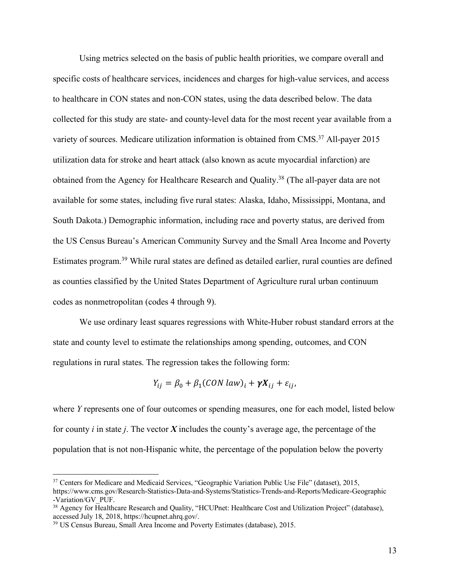Using metrics selected on the basis of public health priorities, we compare overall and specific costs of healthcare services, incidences and charges for high-value services, and access to healthcare in CON states and non-CON states, using the data described below. The data collected for this study are state- and county-level data for the most recent year available from a variety of sources. Medicare utilization information is obtained from CMS.<sup>37</sup> All-payer 2015 utilization data for stroke and heart attack (also known as acute myocardial infarction) are obtained from the Agency for Healthcare Research and Quality.38 (The all-payer data are not available for some states, including five rural states: Alaska, Idaho, Mississippi, Montana, and South Dakota.) Demographic information, including race and poverty status, are derived from the US Census Bureau's American Community Survey and the Small Area Income and Poverty Estimates program.<sup>39</sup> While rural states are defined as detailed earlier, rural counties are defined as counties classified by the United States Department of Agriculture rural urban continuum codes as nonmetropolitan (codes 4 through 9).

We use ordinary least squares regressions with White-Huber robust standard errors at the state and county level to estimate the relationships among spending, outcomes, and CON regulations in rural states. The regression takes the following form:

$$
Y_{ij} = \beta_0 + \beta_1 (CON law)_i + \gamma X_{ij} + \varepsilon_{ij},
$$

where *Y* represents one of four outcomes or spending measures, one for each model, listed below for county *i* in state *j*. The vector *X* includes the county's average age, the percentage of the population that is not non-Hispanic white, the percentage of the population below the poverty

<sup>&</sup>lt;sup>37</sup> Centers for Medicare and Medicaid Services, "Geographic Variation Public Use File" (dataset), 2015, [https://www.cms.gov/Research-Statistics-Data-and-Systems/Statistics-Trends-and-Reports/Medicare-Geographic](https://www.cms.gov/Research-Statistics-Data-and-Systems/Statistics-Trends-and-Reports/Medicare-Geographic-Variation/GV_PUF) [-Variation/GV\\_PUF.](https://www.cms.gov/Research-Statistics-Data-and-Systems/Statistics-Trends-and-Reports/Medicare-Geographic-Variation/GV_PUF)

<sup>38</sup> Agency for Healthcare Research and Quality, "HCUPnet: Healthcare Cost and Utilization Project" (database), accessed July 18, 2018, [https://hcupnet.ahrq.gov/.](https://hcupnet.ahrq.gov/)

<sup>39</sup> US Census Bureau, Small Area Income and Poverty Estimates (database), 2015.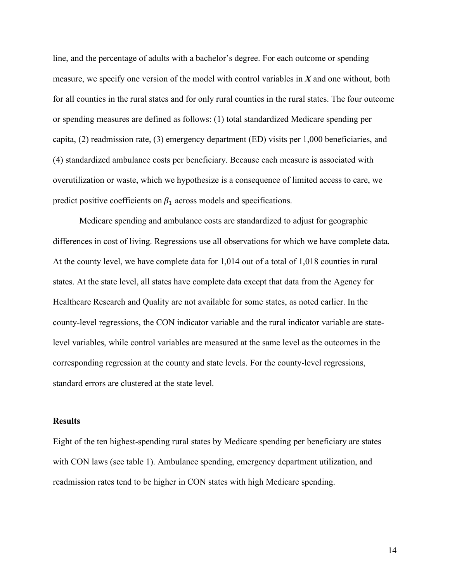line, and the percentage of adults with a bachelor's degree. For each outcome or spending measure, we specify one version of the model with control variables in *X* and one without, both for all counties in the rural states and for only rural counties in the rural states. The four outcome or spending measures are defined as follows: (1) total standardized Medicare spending per capita, (2) readmission rate, (3) emergency department (ED) visits per 1,000 beneficiaries, and (4) standardized ambulance costs per beneficiary. Because each measure is associated with overutilization or waste, which we hypothesize is a consequence of limited access to care, we predict positive coefficients on  $\beta_1$  across models and specifications.

Medicare spending and ambulance costs are standardized to adjust for geographic differences in cost of living. Regressions use all observations for which we have complete data. At the county level, we have complete data for 1,014 out of a total of 1,018 counties in rural states. At the state level, all states have complete data except that data from the Agency for Healthcare Research and Quality are not available for some states, as noted earlier. In the county-level regressions, the CON indicator variable and the rural indicator variable are statelevel variables, while control variables are measured at the same level as the outcomes in the corresponding regression at the county and state levels. For the county-level regressions, standard errors are clustered at the state level.

### **Results**

Eight of the ten highest-spending rural states by Medicare spending per beneficiary are states with CON laws (see table 1). Ambulance spending, emergency department utilization, and readmission rates tend to be higher in CON states with high Medicare spending.

14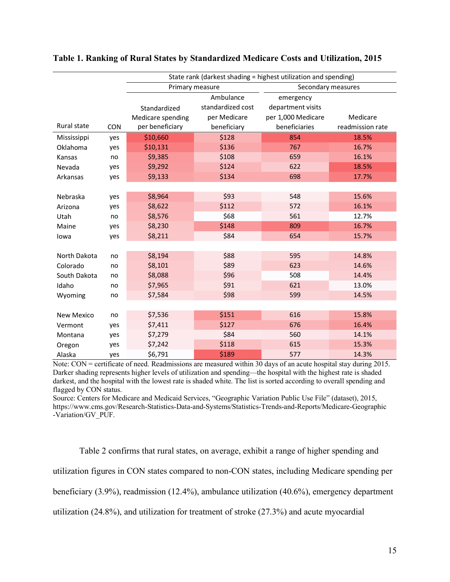|                   |            | State rank (darkest shading = highest utilization and spending) |                   |                    |                  |  |  |
|-------------------|------------|-----------------------------------------------------------------|-------------------|--------------------|------------------|--|--|
|                   |            | Primary measure                                                 |                   | Secondary measures |                  |  |  |
|                   |            |                                                                 | Ambulance         | emergency          |                  |  |  |
|                   |            | Standardized                                                    | standardized cost | department visits  |                  |  |  |
|                   |            | Medicare spending                                               | per Medicare      | per 1,000 Medicare | Medicare         |  |  |
| Rural state       | <b>CON</b> | per beneficiary                                                 | beneficiary       | beneficiaries      | readmission rate |  |  |
| Mississippi       | yes        | \$10,660                                                        | \$128             | 854                | 18.5%            |  |  |
| Oklahoma          | yes        | \$10,131                                                        | \$136             | 767                | 16.7%            |  |  |
| Kansas            | no         | \$9,385                                                         | \$108             | 659                | 16.1%            |  |  |
| Nevada            | yes        | \$9,292                                                         | \$124             | 622                | 18.5%            |  |  |
| Arkansas          | yes        | \$9,133                                                         | \$134             | 698                | 17.7%            |  |  |
|                   |            |                                                                 |                   |                    |                  |  |  |
| Nebraska          | yes        | \$8,964                                                         | \$93              | 548                | 15.6%            |  |  |
| Arizona           | ves        | \$8,622                                                         | \$112             | 572                | 16.1%            |  |  |
| Utah              | no         | \$8,576                                                         | \$68              | 561                | 12.7%            |  |  |
| Maine             | yes        | \$8,230                                                         | \$148             | 809                | 16.7%            |  |  |
| lowa              | yes        | \$8,211                                                         | \$84              | 654                | 15.7%            |  |  |
|                   |            |                                                                 |                   |                    |                  |  |  |
| North Dakota      | no         | \$8,194                                                         | \$88              | 595                | 14.8%            |  |  |
| Colorado          | no         | \$8,101                                                         | \$89              | 623                | 14.6%            |  |  |
| South Dakota      | no         | \$8,088                                                         | \$96              | 508                | 14.4%            |  |  |
| Idaho             | no         | \$7,965                                                         | \$91              | 621                | 13.0%            |  |  |
| Wyoming           | no         | \$7,584                                                         | \$98              | 599                | 14.5%            |  |  |
|                   |            |                                                                 |                   |                    |                  |  |  |
| <b>New Mexico</b> | no         | \$7,536                                                         | \$151             | 616                | 15.8%            |  |  |
| Vermont           | yes        | \$7,411                                                         | \$127             | 676                | 16.4%            |  |  |
| Montana           | yes        | \$7,279                                                         | \$84              | 560                | 14.1%            |  |  |
| Oregon            | yes        | \$7,242                                                         | \$118             | 615                | 15.3%            |  |  |
| Alaska            | yes        | \$6,791                                                         | \$189             | 577                | 14.3%            |  |  |

#### **Table 1. Ranking of Rural States by Standardized Medicare Costs and Utilization, 2015**

Note: CON = certificate of need. Readmissions are measured within 30 days of an acute hospital stay during 2015. Darker shading represents higher levels of utilization and spending—the hospital with the highest rate is shaded darkest, and the hospital with the lowest rate is shaded white. The list is sorted according to overall spending and flagged by CON status.

Source: Centers for Medicare and Medicaid Services, "Geographic Variation Public Use File" (dataset), 2015, [https://www.cms.gov/Research-Statistics-Data-and-Systems/Statistics-Trends-and-Reports/Medicare-Geographic](https://www.cms.gov/Research-Statistics-Data-and-Systems/Statistics-Trends-and-Reports/Medicare-Geographic-Variation/GV_PUF) [-Variation/GV\\_PUF.](https://www.cms.gov/Research-Statistics-Data-and-Systems/Statistics-Trends-and-Reports/Medicare-Geographic-Variation/GV_PUF)

Table 2 confirms that rural states, on average, exhibit a range of higher spending and utilization figures in CON states compared to non-CON states, including Medicare spending per beneficiary (3.9%), readmission (12.4%), ambulance utilization (40.6%), emergency department utilization (24.8%), and utilization for treatment of stroke (27.3%) and acute myocardial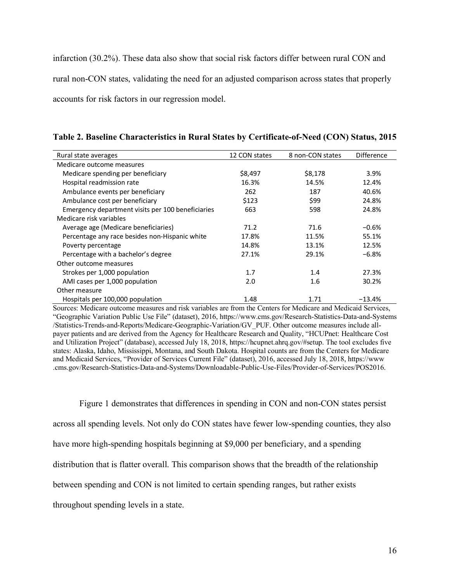infarction (30.2%). These data also show that social risk factors differ between rural CON and rural non-CON states, validating the need for an adjusted comparison across states that properly accounts for risk factors in our regression model.

| Rural state averages                              | 12 CON states | 8 non-CON states | <b>Difference</b> |
|---------------------------------------------------|---------------|------------------|-------------------|
| Medicare outcome measures                         |               |                  |                   |
| Medicare spending per beneficiary                 | \$8,497       | \$8,178          | 3.9%              |
| Hospital readmission rate                         | 16.3%         | 14.5%            | 12.4%             |
| Ambulance events per beneficiary                  | 262           | 187              | 40.6%             |
| Ambulance cost per beneficiary                    | \$123         | \$99             | 24.8%             |
| Emergency department visits per 100 beneficiaries | 663           | 598              | 24.8%             |
| Medicare risk variables                           |               |                  |                   |
| Average age (Medicare beneficiaries)              | 71.2          | 71.6             | $-0.6%$           |
| Percentage any race besides non-Hispanic white    | 17.8%         | 11.5%            | 55.1%             |
| Poverty percentage                                | 14.8%         | 13.1%            | 12.5%             |
| Percentage with a bachelor's degree               | 27.1%         | 29.1%            | $-6.8%$           |
| Other outcome measures                            |               |                  |                   |
| Strokes per 1,000 population                      | 1.7           | 1.4              | 27.3%             |
| AMI cases per 1,000 population                    | 2.0           | 1.6              | 30.2%             |
| Other measure                                     |               |                  |                   |
| Hospitals per 100,000 population                  | 1.48          | 1.71             | $-13.4%$          |

**Table 2. Baseline Characteristics in Rural States by Certificate-of-Need (CON) Status, 2015**

Sources: Medicare outcome measures and risk variables are from the Centers for Medicare and Medicaid Services, "Geographic Variation Public Use File" (dataset), 2016, [https://www.cms.gov/Research-Statistics-Data-and-Systems](https://www.cms.gov/Research-Statistics-Data-and-Systems/Statistics-Trends-and-Reports/Medicare-Geographic-Variation/GV_PUF) [/Statistics-Trends-and-Reports/Medicare-Geographic-Variation/GV\\_PUF.](https://www.cms.gov/Research-Statistics-Data-and-Systems/Statistics-Trends-and-Reports/Medicare-Geographic-Variation/GV_PUF) Other outcome measures include allpayer patients and are derived from the Agency for Healthcare Research and Quality, "HCUPnet: Healthcare Cost and Utilization Project" (database), accessed July 18, 2018, [https://hcupnet.ahrq.gov/#setup.](https://hcupnet.ahrq.gov/%23setup) The tool excludes five states: Alaska, Idaho, Mississippi, Montana, and South Dakota. Hospital counts are from the Centers for Medicare and Medicaid Services, "Provider of Services Current File" (dataset), 2016, accessed July 18, 2018[, https://www](https://www.cms.gov/Research-Statistics-Data-and-Systems/Downloadable-Public-Use-Files/Provider-of-Services/POS2016) [.cms.gov/Research-Statistics-Data-and-Systems/Downloadable-Public-Use-Files/Provider-of-Services/POS2016.](https://www.cms.gov/Research-Statistics-Data-and-Systems/Downloadable-Public-Use-Files/Provider-of-Services/POS2016)

Figure 1 demonstrates that differences in spending in CON and non-CON states persist across all spending levels. Not only do CON states have fewer low-spending counties, they also have more high-spending hospitals beginning at \$9,000 per beneficiary, and a spending distribution that is flatter overall. This comparison shows that the breadth of the relationship between spending and CON is not limited to certain spending ranges, but rather exists throughout spending levels in a state.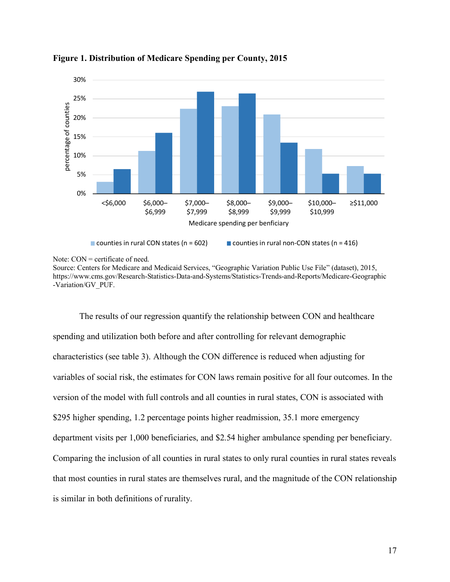

**Figure 1. Distribution of Medicare Spending per County, 2015**

Note: CON = certificate of need.

Source: Centers for Medicare and Medicaid Services, "Geographic Variation Public Use File" (dataset), 2015, [https://www.cms.gov/Research-Statistics-Data-and-Systems/Statistics-Trends-and-Reports/Medicare-Geographic](https://www.cms.gov/Research-Statistics-Data-and-Systems/Statistics-Trends-and-Reports/Medicare-Geographic-Variation/GV_PUF) [-Variation/GV\\_PUF.](https://www.cms.gov/Research-Statistics-Data-and-Systems/Statistics-Trends-and-Reports/Medicare-Geographic-Variation/GV_PUF)

The results of our regression quantify the relationship between CON and healthcare spending and utilization both before and after controlling for relevant demographic characteristics (see table 3). Although the CON difference is reduced when adjusting for variables of social risk, the estimates for CON laws remain positive for all four outcomes. In the version of the model with full controls and all counties in rural states, CON is associated with \$295 higher spending, 1.2 percentage points higher readmission, 35.1 more emergency department visits per 1,000 beneficiaries, and \$2.54 higher ambulance spending per beneficiary. Comparing the inclusion of all counties in rural states to only rural counties in rural states reveals that most counties in rural states are themselves rural, and the magnitude of the CON relationship is similar in both definitions of rurality.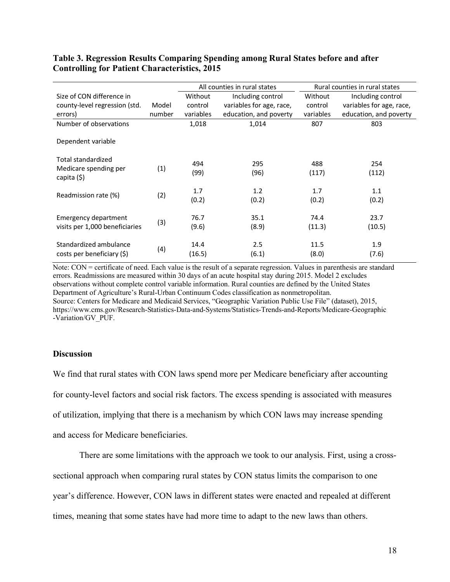## **Table 3. Regression Results Comparing Spending among Rural States before and after Controlling for Patient Characteristics, 2015**

|                                      |        | All counties in rural states |                          | Rural counties in rural states |                          |
|--------------------------------------|--------|------------------------------|--------------------------|--------------------------------|--------------------------|
| Size of CON difference in            |        | Without                      | Including control        | Without                        | Including control        |
| county-level regression (std.        | Model  | control                      | variables for age, race, | control                        | variables for age, race, |
| errors)                              | number | variables                    | education, and poverty   | variables                      | education, and poverty   |
| Number of observations               |        | 1,018                        | 1,014                    | 807                            | 803                      |
| Dependent variable                   |        |                              |                          |                                |                          |
| Total standardized                   |        | 494                          | 295                      | 488                            | 254                      |
| Medicare spending per<br>capita (\$) | (1)    | (99)                         | (96)                     | (117)                          | (112)                    |
| Readmission rate (%)                 | (2)    | 1.7                          | 1.2                      | 1.7                            | 1.1                      |
|                                      |        | (0.2)                        | (0.2)                    | (0.2)                          | (0.2)                    |
| <b>Emergency department</b>          |        | 76.7                         | 35.1                     | 74.4                           | 23.7                     |
| visits per 1,000 beneficiaries       | (3)    | (9.6)                        | (8.9)                    | (11.3)                         | (10.5)                   |
| Standardized ambulance               |        | 14.4                         | 2.5                      | 11.5                           | 1.9                      |
| costs per beneficiary (\$)           | (4)    | (16.5)                       | (6.1)                    | (8.0)                          | (7.6)                    |

Note: CON = certificate of need. Each value is the result of a separate regression. Values in parenthesis are standard errors. Readmissions are measured within 30 days of an acute hospital stay during 2015. Model 2 excludes observations without complete control variable information. Rural counties are defined by the United States Department of Agriculture's Rural-Urban Continuum Codes classification as nonmetropolitan. Source: Centers for Medicare and Medicaid Services, "Geographic Variation Public Use File" (dataset), 2015, [https://www.cms.gov/Research-Statistics-Data-and-Systems/Statistics-Trends-and-Reports/Medicare-Geographic](https://www.cms.gov/Research-Statistics-Data-and-Systems/Statistics-Trends-and-Reports/Medicare-Geographic-Variation/GV_PUF) [-Variation/GV\\_PUF](https://www.cms.gov/Research-Statistics-Data-and-Systems/Statistics-Trends-and-Reports/Medicare-Geographic-Variation/GV_PUF).

#### **Discussion**

We find that rural states with CON laws spend more per Medicare beneficiary after accounting for county-level factors and social risk factors. The excess spending is associated with measures of utilization, implying that there is a mechanism by which CON laws may increase spending and access for Medicare beneficiaries.

There are some limitations with the approach we took to our analysis. First, using a cross-

sectional approach when comparing rural states by CON status limits the comparison to one

year's difference. However, CON laws in different states were enacted and repealed at different

times, meaning that some states have had more time to adapt to the new laws than others.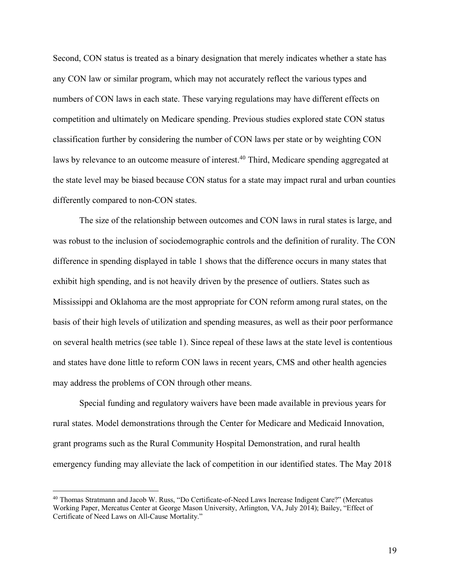Second, CON status is treated as a binary designation that merely indicates whether a state has any CON law or similar program, which may not accurately reflect the various types and numbers of CON laws in each state. These varying regulations may have different effects on competition and ultimately on Medicare spending. Previous studies explored state CON status classification further by considering the number of CON laws per state or by weighting CON laws by relevance to an outcome measure of interest.<sup>40</sup> Third, Medicare spending aggregated at the state level may be biased because CON status for a state may impact rural and urban counties differently compared to non-CON states.

The size of the relationship between outcomes and CON laws in rural states is large, and was robust to the inclusion of sociodemographic controls and the definition of rurality. The CON difference in spending displayed in table 1 shows that the difference occurs in many states that exhibit high spending, and is not heavily driven by the presence of outliers. States such as Mississippi and Oklahoma are the most appropriate for CON reform among rural states, on the basis of their high levels of utilization and spending measures, as well as their poor performance on several health metrics (see table 1). Since repeal of these laws at the state level is contentious and states have done little to reform CON laws in recent years, CMS and other health agencies may address the problems of CON through other means.

Special funding and regulatory waivers have been made available in previous years for rural states. Model demonstrations through the Center for Medicare and Medicaid Innovation, grant programs such as the Rural Community Hospital Demonstration, and rural health emergency funding may alleviate the lack of competition in our identified states. The May 2018

 <sup>40</sup> Thomas Stratmann and Jacob W. Russ, "Do Certificate-of-Need Laws Increase Indigent Care?" (Mercatus Working Paper, Mercatus Center at George Mason University, Arlington, VA, July 2014); Bailey, "Effect of Certificate of Need Laws on All-Cause Mortality."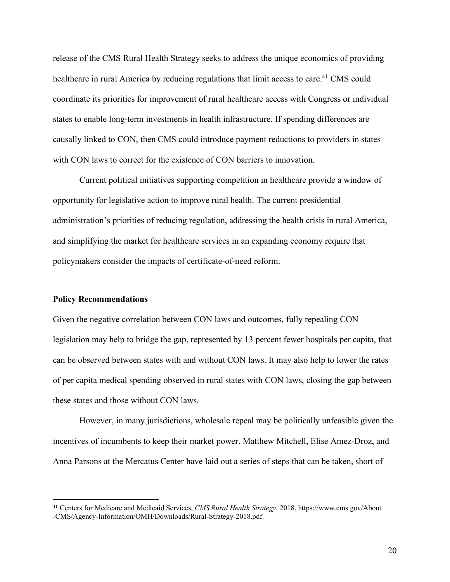release of the CMS Rural Health Strategy seeks to address the unique economics of providing healthcare in rural America by reducing regulations that limit access to care.<sup>41</sup> CMS could coordinate its priorities for improvement of rural healthcare access with Congress or individual states to enable long-term investments in health infrastructure. If spending differences are causally linked to CON, then CMS could introduce payment reductions to providers in states with CON laws to correct for the existence of CON barriers to innovation.

Current political initiatives supporting competition in healthcare provide a window of opportunity for legislative action to improve rural health. The current presidential administration's priorities of reducing regulation, addressing the health crisis in rural America, and simplifying the market for healthcare services in an expanding economy require that policymakers consider the impacts of certificate-of-need reform.

#### **Policy Recommendations**

Given the negative correlation between CON laws and outcomes, fully repealing CON legislation may help to bridge the gap, represented by 13 percent fewer hospitals per capita, that can be observed between states with and without CON laws. It may also help to lower the rates of per capita medical spending observed in rural states with CON laws, closing the gap between these states and those without CON laws.

However, in many jurisdictions, wholesale repeal may be politically unfeasible given the incentives of incumbents to keep their market power. Matthew Mitchell, Elise Amez-Droz, and Anna Parsons at the Mercatus Center have laid out a series of steps that can be taken, short of

 <sup>41</sup> Centers for Medicare and Medicaid Services, *CMS Rural Health Strategy*, 2018, [https://www.cms.gov/About](https://www.cms.gov/About-CMS/Agency-Information/OMH/Downloads/Rural-Strategy-2018.pdf) [-CMS/Agency-Information/OMH/Downloads/Rural-Strategy-2018.pdf.](https://www.cms.gov/About-CMS/Agency-Information/OMH/Downloads/Rural-Strategy-2018.pdf)